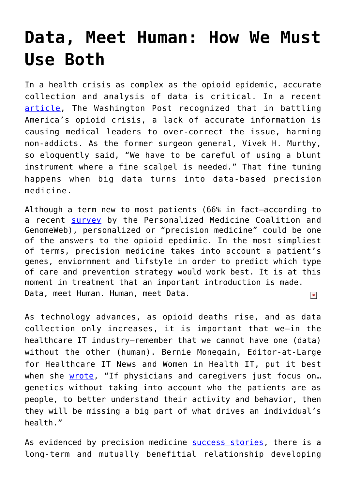## **[Data, Meet Human: How We Must](https://www.cns-inc.com/insights/thought-leadership/data-meet-human-how-we-must-use-both/) [Use Both](https://www.cns-inc.com/insights/thought-leadership/data-meet-human-how-we-must-use-both/)**

In a health crisis as complex as the opioid epidemic, accurate collection and analysis of data is critical. In a recent [article](https://www.washingtonpost.com/graphics/2018/local/impact-of-americas-opioid-crackdown/?utm_term=.aebae71e33c9), The Washington Post recognized that in battling America's opioid crisis, a lack of accurate information is causing medical leaders to over-correct the issue, harming non-addicts. As the former surgeon general, Vivek H. Murthy, so eloquently said, "We have to be careful of using a blunt instrument where a fine scalpel is needed." That fine tuning happens when big data turns into data-based precision medicine.

Although a term new to most patients (66% in fact—according to a recent [survey](https://www.fiercehealthcare.com/hospitals-health-systems/personalized-medicine-coalition-survey-precision-health) by the Personalized Medicine Coalition and GenomeWeb), personalized or "precision medicine" could be one of the answers to the opioid epedimic. In the most simpliest of terms, precision medicine takes into account a patient's genes, enviornment and lifstyle in order to predict which type of care and prevention strategy would work best. It is at this moment in treatment that an important introduction is made. Data, meet Human. Human, meet Data.  $\pmb{\times}$ 

As technology advances, as opioid deaths rise, and as data collection only increases, it is important that we—in the healthcare IT industry—remember that we cannot have one (data) without the other (human). Bernie Monegain, Editor-at-Large for Healthcare IT News and Women in Health IT, put it best when she [wrote,](http://www.healthcareitnews.com/news/precision-medicine-we-want-make-sure-people-feel-respected-clinical-ethicist-says) "If physicians and caregivers just focus on... genetics without taking into account who the patients are as people, to better understand their activity and behavior, then they will be missing a big part of what drives an individual's health."

As evidenced by precision medicine [success stories,](https://www.webmd.com/cancer/targeted-care-16/video-precision-medicine-success) there is a long-term and mutually benefitial relationship developing